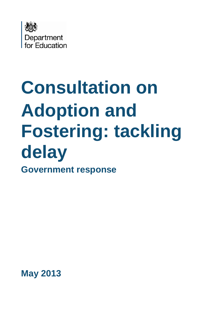

# **Consultation on Adoption and Fostering: tackling delay Government response**

**May 2013**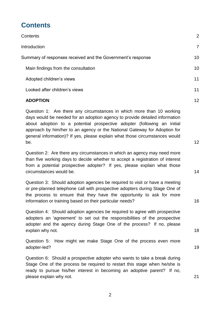# <span id="page-1-0"></span>**Contents**

| Contents                                                    | 2               |
|-------------------------------------------------------------|-----------------|
| Introduction                                                | $\overline{7}$  |
| Summary of responses received and the Government's response | 10              |
| Main findings from the consultation                         | 10 <sup>°</sup> |
| Adopted children's views                                    | 11              |
| Looked after children's views                               | 11              |
|                                                             |                 |

#### **[ADOPTION](#page-11-0)** 12

[Question 1: Are there any circumstances in which more than 10 working](#page-11-1)  [days would be needed for an adoption agency to provide detailed information](#page-11-1)  [about adoption to a potential prospective adopter \(following an initial](#page-11-1)  [approach by him/her to an agency or the National Gateway for Adoption for](#page-11-1)  [general information\)? If yes, please explain what those circumstances would](#page-11-1)  [be.](#page-11-1)  $12$ 

Question 2: Are there any [circumstances in which an agency may need more](#page-13-0)  than five working days [to decide whether to accept a registration of interest](#page-13-0)  from a potential prospective adopter? [If yes, please explain what those](#page-13-0)  [circumstances would be.](#page-13-0) 14

[Question 3: Should adoption agencies be required to visit or have a meeting](#page-15-0)  [or pre-planned telephone call with prospective adopters during Stage One of](#page-15-0)  [the process to ensure that they have the opportunity to ask for more](#page-15-0)  [information or training based on their particular needs?](#page-15-0) 16

[Question 4: Should adoption agencies be required to agree with prospective](#page-17-0)  [adopters an 'agreement' to set out the responsibilities of the prospective](#page-17-0) [adopter and the agency during Stage One of the process?](#page-17-0) If no, please [explain why not.](#page-17-0) 18

[Question 5: How might we make Stage One of the process even more](#page-18-0)  [adopter-led?](#page-18-0) 19

[Question 6: Should a prospective adopter who wants to take a break during](#page-20-0)  [Stage One of the process be required to restart this stage when he/she is](#page-20-0)  [ready to pursue his/her interest in becoming an adoptive parent?](#page-20-0) If no, [please explain why not.](#page-20-0) 21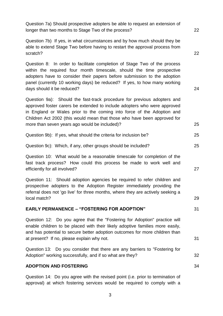[Question 7a\) Should prospective adopters be able to request an extension of](#page-21-0)  [longer than two months to Stage Two of the process?](#page-21-0) 22

[Question 7b\) If yes, in what circumstances and by how much should they be](#page-21-1)  [able to extend Stage Two before having to restart the approval process from](#page-21-1)  [scratch?](#page-21-1) 22

[Question 8: In order to facilitate completion of Stage Two of the process](#page-23-0)  [within the required four month timescale, should the time prospective](#page-23-0)  [adopters have to consider their papers before submission to the adoption](#page-23-0)  [panel \(currently 10 working days\) be reduced?](#page-23-0) If yes, to how many working [days should it be reduced?](#page-23-0) 24

[Question 9a\): Should the fast-track procedure for previous adopters and](#page-24-0)  [approved foster carers be extended to include adopters who were approved](#page-24-0)  [in England or Wales prior to the coming into force of the Adoption and](#page-24-0)  [Children Act 2002 \(this would mean that those who have been approved for](#page-24-0)  [more than seven years ago would be included\)?](#page-24-0) 25

| Question 9b): If yes, what should the criteria for inclusion be? |  |  |
|------------------------------------------------------------------|--|--|
|------------------------------------------------------------------|--|--|

[Question 9c\): Which, if any, other groups should be included?](#page-24-2) 25

[Question 10: What would be a reasonable timescale for completion of the](#page-26-0)  fast track process? [How could this process be made to work well and](#page-26-0)  [efficiently for all involved?](#page-26-0) 27

Question 11: Should adoption [agencies be required to refer children and](#page-28-0)  [prospective adopters to the Adoption Register immediately providing the](#page-28-0)  [referral does not 'go live' for three months, where they are actively seeking a](#page-28-0)  [local match?](#page-28-0) 29

#### **EARLY PERMANENCE – ["FOSTERING FOR ADOPTION"](#page-30-0)** 31

[Question 12: Do you agree that the "Fostering for Adoption" practice will](#page-30-1)  [enable children to be placed with their likely adoptive families more easily,](#page-30-1)  [and has potential to secure better adoption outcomes for more children than](#page-30-1)  at present? [If no, please explain why not.](#page-30-1)  $31$ 

Question 13: [Do you consider that there are any barriers to "Fostering for](#page-31-0)  [Adoption" working successfully, and if so what are they?](#page-31-0) 32

#### **[ADOPTION AND FOSTERING](#page-33-0)** 34

[Question 14: Do you agree with the revised point \(i.e. prior to termination of](#page-33-1)  [approval\) at which fostering services would be required to comply with a](#page-33-1)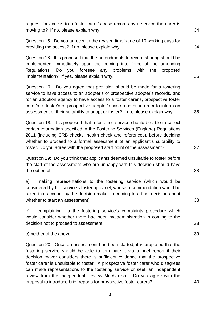[request for access to a foster carer's case records by a service the carer is](#page-33-1)  moving to? [If no, please explain why.](#page-33-1)  $34$ 

[Question 15: Do you agree with the revised timeframe of 10 working days for](#page-33-2)  [providing the access? If no, please explain why.](#page-33-2) 34

[Question 16: It is proposed that the amendments to record sharing should be](#page-34-0)  [implemented immediately upon the coming into force of the amending](#page-34-0)  [Regulations. Do you foresee any problems with the proposed](#page-34-0)  implementation? [If yes, please explain why.](#page-34-0)  $35$ 

[Question 17: Do you agree that provision should be made for a fostering](#page-34-1)  [service to have access to an adopter's or prospective adopter's records, and](#page-34-1)  [for an adoption agency to have access to a foster carer's, prospective foster](#page-34-1)  [carer's, adopter's or prospective adopter's case records in order to inform an](#page-34-1)  [assessment of their suitability to adopt or foster? If no, please explain why.](#page-34-1) 35

[Question 18: It is proposed that a fostering service should be able to collect](#page-36-0)  [certain information specified in the Fostering Services \(England\) Regulations](#page-36-0)  [2011 \(including CRB checks, health check and references\), before deciding](#page-36-0)  [whether to proceed to a formal assessment of an applicant's suitability to](#page-36-0)  [foster. Do you agree with the proposed start point of the assessment?](#page-36-0) 37

[Question 19: Do you think that applicants deemed unsuitable to foster before](#page-37-0)  [the start of the assessment who are unhappy with this decision should have](#page-37-0)  [the option of:](#page-37-0) 38

a) [making representations to the fostering service \(which would be](#page-37-1)  [considered by the service's fostering panel, whose recommendation would be](#page-37-1)  [taken into account by the decision maker in coming to a final decision about](#page-37-1)  [whether to start an assessment\)](#page-37-1) 38

b) [complaining via the fostering service's complaints procedure which](#page-37-2)  [would consider whether there had been maladministration in coming to the](#page-37-2)  [decision not to proceed to assessment](#page-37-2) **38** and  $\overline{a}$  38

#### [c\) neither of the above](#page-38-0) 39

[Question 20: Once an assessment has been started, it is proposed that the](#page-39-0)  [fostering service should be able to terminate it via a brief report if their](#page-39-0)  [decision maker considers there is sufficient evidence that the prospective](#page-39-0)  foster carer is unsuitable to foster. [A prospective foster carer who disagrees](#page-39-0)  [can make representations to the fostering service or seek an independent](#page-39-0)  [review from the Independent Review Mechanism. Do you agree with the](#page-39-0)  [proposal to introduce brief reports for prospective foster carers?](#page-39-0) 40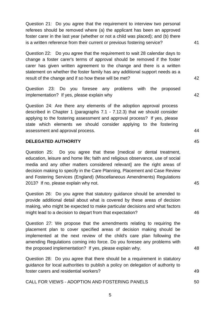[Question 21: Do you agree that the requirement to interview two personal](#page-40-0)  [referees should be removed where \(a\) the applicant has been an approved](#page-40-0)  [foster carer in the last year \(whether or not a child was placed\); and \(b\) there](#page-40-0)  [is a written reference from their current or previous fostering service?](#page-40-0) 41

Question 22: [Do you agree that the requirement to wait 28 calendar days to](#page-41-0)  [change a foster carer's terms of approval should be removed if the foster](#page-41-0)  [carer has given written agreement to the change and there is a written](#page-41-0)  [statement on whether the foster family has any additional support needs as a](#page-41-0)  [result of the change and if so how these will be met?](#page-41-0) 42

[Question 23: Do you foresee any problems with the proposed](#page-41-1)  implementation? [If yes, please explain why](#page-41-1) 42

[Question 24: Are there any elements of the adoption approval process](#page-43-0)  [described in Chapter 1 \(paragraphs 7.1 -](#page-43-0) 7.12.3) that we should consider applying to [the fostering assessment and approval process?](#page-43-0) If yes, please [state which elements we should consider applying to the fostering](#page-43-0)  [assessment and approval process.](#page-43-0) 44

#### **[DELEGATED AUTHORITY](#page-44-0)** 45

[Question 25: Do you agree that these \[medical or dental treatment,](#page-44-1)  [education, leisure and home life; faith and religious observance, use of social](#page-44-1)  [media and any other matters considered relevant\]](#page-44-1) are the right areas of [decision making to specify in the Care Planning, Placement and Case Review](#page-44-1)  [and Fostering Services \(England\) \(Miscellaneous Amendments\) Regulations](#page-44-1)  2013? [If no, please explain why not.](#page-44-1) 45

[Question 26: Do you agree that statutory guidance should be amended to](#page-45-0)  [provide additional detail about what is covered by these areas of decision](#page-45-0)  [making, who might be expected to make particular decisions and what factors](#page-45-0)  [might lead to a decision to depart from that expectation?](#page-45-0) 46

[Question 27: We propose that the amendments relating to requiring the](#page-47-0)  [placement plan to cover specified areas of decision making should be](#page-47-0)  [implemented at the next review of the child's care plan following the](#page-47-0)  [amending Regulations coming into force.](#page-47-0) Do you foresee any problems with [the proposed implementation?](#page-47-0) If yes, please explain why. 48

[Question 28: Do you agree that there should be a requirement in statutory](#page-48-0)  [guidance for local authorities to publish a policy on delegation of authority to](#page-48-0)  [foster carers and residential workers?](#page-48-0) 49

CALL FOR VIEWS - [ADOPTION AND FOSTERING PANELS](#page-49-0) 50

5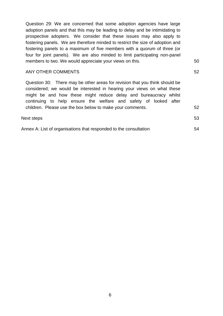[Question 29: We are concerned that some adoption agencies have large](#page-49-1)  [adoption panels and that this may be leading to delay and be intimidating to](#page-49-1)  prospective adopters. [We consider that these issues may also apply to](#page-49-1)  fostering panels. [We are therefore minded to restrict the size of adoption and](#page-49-1)  [fostering panels to a maximum of five members with a quorum of three \(or](#page-49-1)  four for joint panels). [We are also minded to limit participating non-panel](#page-49-1)  [members to two. We would appreciate your views on this.](#page-49-1) 50

#### [ANY OTHER COMMENTS](#page-51-0) 52

Question 30: [There may be other areas for revision that you think should be](#page-51-1)  [considered; we would be interested in hearing your views on what these](#page-51-1)  [might be and how these might reduce delay and bureaucracy whilst](#page-51-1)  [continuing to help ensure the welfare and safety of looked after](#page-51-1)  children. [Please use the box below to make your comments.](#page-51-1) 52

| Next steps | 52<br>JJ |
|------------|----------|
|            |          |

| ۰, |  |
|----|--|
|    |  |

| Annex A: List of organisations that responded to the consultation | 54 |
|-------------------------------------------------------------------|----|
|-------------------------------------------------------------------|----|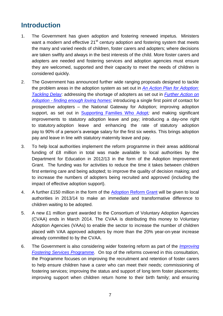# <span id="page-6-0"></span>**Introduction**

- 1. The Government has given adoption and fostering renewed impetus. Ministers want a modern and effective  $21<sup>st</sup>$  century adoption and fostering system that meets the many and varied needs of children, foster carers and adopters; where decisions are taken swiftly and always in the best interests of the child. More foster carers and adopters are needed and fostering services and adoption agencies must ensure they are welcomed, supported and their capacity to meet the needs of children is considered quickly.
- 2. The Government has announced further wide ranging proposals designed to tackle the problem areas in the adoption system as set out in *[An Action Plan for Adoption:](http://www.education.gov.uk/childrenandyoungpeople/families/adoption/a00205069/action-plan-for-adoption-tackling-delay)  [Tackling Delay](http://www.education.gov.uk/childrenandyoungpeople/families/adoption/a00205069/action-plan-for-adoption-tackling-delay)*: addressing the shortage of adopters as set out in *[Further Action on](https://www.education.gov.uk/publications/standard/publicationDetail/Page1/DFE-00003-2013)  Adoption - [finding enough loving homes](https://www.education.gov.uk/publications/standard/publicationDetail/Page1/DFE-00003-2013)*; introducing a single first point of contact for prospective adopters – the National Gateway for Adoption; improving adoption support, as set out in [Supporting Families Who Adopt](http://www.education.gov.uk/childrenandyoungpeople/families/adoption/a00219199/adoption-support)*;* and making significant improvements to statutory adoption leave and pay; introducing a day-one right to statutory adoption leave and enhancing the rate of statutory adoption pay to 90% of a person's average salary for the first six weeks. This brings adoption pay and leave in line with statutory maternity leave and pay.
- 3. To help local authorities implement the reform programme in their areas additional funding of £8 million in total was made available to local authorities by the Department for Education in 2012/13 in the form of the Adoption Improvement Grant. The funding was for activities to reduce the time it takes between children first entering care and being adopted; to improve the quality of decision making; and to increase the numbers of adopters being recruited and approved (including the impact of effective adoption support).
- 4. A further £150 million in the form of the [Adoption Reform Grant](http://www.education.gov.uk/childrenandyoungpeople/families/adoption/a00221644/adoption-reform-grant-2013-14) will be given to local authorities in 2013/14 to make an immediate and transformative difference to children waiting to be adopted.
- 5. A new £1 million grant awarded to the Consortium of Voluntary Adoption Agencies (CVAA) ends in March 2014. The CVAA is distributing this money to Voluntary Adoption Agencies (VAAs) to enable the sector to increase the number of children placed with VAA approved adopters by more than the 20% year-on-year increase already committed to by the CVAA.
- 6. The Government is also considering wider fostering reform as part of the *[Improving](http://www.education.gov.uk/childrenandyoungpeople/families/fostercare/a00209220/proposals)  [Fostering Services Programme.](http://www.education.gov.uk/childrenandyoungpeople/families/fostercare/a00209220/proposals)* On top of the reforms covered in this consultation, the Programme focuses on improving the recruitment and retention of foster carers to help ensure children have a carer who can meet their needs; commissioning of fostering services; improving the status and support of long term foster placements; improving support when children return home to their birth family; and ensuring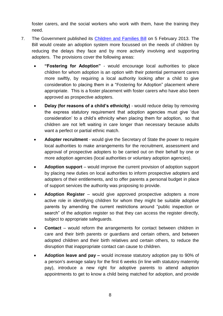foster carers, and the social workers who work with them, have the training they need.

- 7. The Government published its [Children and Families Bill](http://services.parliament.uk/bills/2012-13/childrenandfamilies.html) on 5 February 2013. The Bill would create an adoption system more focussed on the needs of children by reducing the delays they face and by more actively involving and supporting adopters. The provisions cover the following areas:
	- **"Fostering for Adoption"** would encourage local authorities to place children for whom adoption is an option with their potential permanent carers more swiftly, by requiring a local authority looking after a child to give consideration to placing them in a "Fostering for Adoption" placement where appropriate. This is a foster placement with foster carers who have also been approved as prospective adopters.
	- **Delay (for reasons of a child's ethnicity)** would reduce delay by removing the express statutory requirement that adoption agencies must give 'due consideration' to a child's ethnicity when placing them for adoption, so that children are not left waiting in care longer than necessary because adults want a perfect or partial ethnic match.
	- **Adopter recruitment** would give the Secretary of State the power to require local authorities to make arrangements for the recruitment, assessment and approval of prospective adopters to be carried out on their behalf by one or more adoption agencies (local authorities or voluntary adoption agencies).
	- **Adoption support** would improve the current provision of adoption support by placing new duties on local authorities to inform prospective adopters and adopters of their entitlements, and to offer parents a personal budget in place of support services the authority was proposing to provide.
	- **Adoption Register** would give approved prospective adopters a more active role in identifying children for whom they might be suitable adoptive parents by amending the current restrictions around "public inspection or search" of the adoption register so that they can access the register directly, subject to appropriate safeguards.
	- **Contact** would reform the arrangements for contact between children in care and their birth parents or guardians and certain others, and between adopted children and their birth relatives and certain others, to reduce the disruption that inappropriate contact can cause to children.
	- **Adoption leave and pay –** would increase statutory adoption pay to 90% of a person's average salary for the first 6 weeks (in line with statutory maternity pay), introduce a new right for adoptive parents to attend adoption appointments to get to know a child being matched for adoption, and provide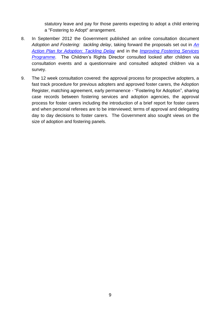statutory leave and pay for those parents expecting to adopt a child entering a "Fostering to Adopt" arrangement.

- 8. In September 2012 the Government published an online consultation document *Adoption and Fostering: tackling delay*, taking forward the proposals set out in *[An](http://www.education.gov.uk/childrenandyoungpeople/families/adoption/a00205069/action-plan-for-adoption-tackling-delay)  [Action Plan for Adoption: Tackling Delay](http://www.education.gov.uk/childrenandyoungpeople/families/adoption/a00205069/action-plan-for-adoption-tackling-delay)* and in the *[Improving Fostering Services](http://www.education.gov.uk/childrenandyoungpeople/families/fostercare/a00209220/proposals)  [Programme.](http://www.education.gov.uk/childrenandyoungpeople/families/fostercare/a00209220/proposals)* The Children's Rights Director consulted looked after children via consultation events and a questionnaire and consulted adopted children via a survey.
- 9. The 12 week consultation covered: the approval process for prospective adopters, a fast track procedure for previous adopters and approved foster carers, the Adoption Register, matching agreement, early permanence - "Fostering for Adoption", sharing case records between fostering services and adoption agencies, the approval process for foster carers including the introduction of a brief report for foster carers and when personal referees are to be interviewed; terms of approval and delegating day to day decisions to foster carers. The Government also sought views on the size of adoption and fostering panels.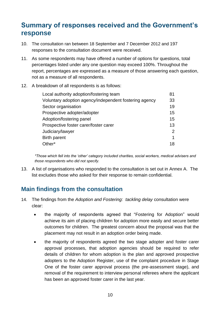# <span id="page-9-0"></span>**Summary of responses received and the Government's response**

- 10. The consultation ran between 18 September and 7 December 2012 and 197 responses to the consultation document were received.
- 11. As some respondents may have offered a number of options for questions, total percentages listed under any one question may exceed 100%. Throughout the report, percentages are expressed as a measure of those answering each question, not as a measure of all respondents.

#### 12. A breakdown of all respondents is as follows:

| Voluntary adoption agency/independent fostering agency<br>Sector organisation<br>Prospective adopter/adopter<br>Adoption/fostering panel<br>Prospective foster carer/foster carer<br>Judiciary/lawyer<br><b>Birth parent</b><br>Other* | Local authority adoption/fostering team | 81 |
|----------------------------------------------------------------------------------------------------------------------------------------------------------------------------------------------------------------------------------------|-----------------------------------------|----|
|                                                                                                                                                                                                                                        |                                         | 33 |
|                                                                                                                                                                                                                                        |                                         | 19 |
|                                                                                                                                                                                                                                        |                                         | 15 |
|                                                                                                                                                                                                                                        |                                         | 15 |
|                                                                                                                                                                                                                                        |                                         | 13 |
|                                                                                                                                                                                                                                        |                                         | 2  |
|                                                                                                                                                                                                                                        |                                         | 1  |
|                                                                                                                                                                                                                                        |                                         | 18 |

*\*Those which fell into the 'other' category included charities, social workers, medical advisers and those respondents who did not specify.*

13. A list of organisations who responded to the consultation is set out in Annex A. The list excludes those who asked for their response to remain confidential.

## <span id="page-9-1"></span>**Main findings from the consultation**

- 14. The findings from the *Adoption and Fostering: tackling delay* consultation were clear:
	- the majority of respondents agreed that "Fostering for Adoption" would achieve its aim of placing children for adoption more easily and secure better outcomes for children. The greatest concern about the proposal was that the placement may not result in an adoption order being made.
	- the majority of respondents agreed the two stage adopter and foster carer approval processes, that adoption agencies should be required to refer details of children for whom adoption is the plan and approved prospective adopters to the Adoption Register, use of the complaint procedure in Stage One of the foster carer approval process (the pre-assessment stage), and removal of the requirement to interview personal referees where the applicant has been an approved foster carer in the last year.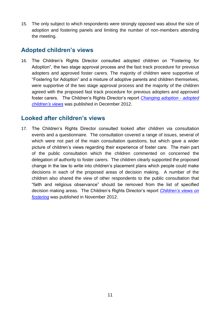15. The only subject to which respondents were strongly opposed was about the size of adoption and fostering panels and limiting the number of non-members attending the meeting.

## <span id="page-10-0"></span>**Adopted children's views**

16. The Children's Rights Director consulted adopted children on "Fostering for Adoption", the two stage approval process and the fast track procedure for previous adopters and approved foster carers*.* The majority of children were supportive of "Fostering for Adoption" and a mixture of adoptive parents and children themselves, were supportive of the two stage approval process and the majority of the children agreed with the proposed fast track procedure for previous adopters and approved foster carers. The Children's Rights Director's report *[Changing adoption -](http://www.rights4me.org/home/library/reports/report-changing-adoption2012.aspx) adopted [children's views](http://www.rights4me.org/home/library/reports/report-changing-adoption2012.aspx)* was published in December 2012.

## <span id="page-10-1"></span>**Looked after children's views**

17. The Children's Rights Director consulted looked after children via consultation events and a questionnaire. The consultation covered a range of issues, several of which were not part of the main consultation questions, but which gave a wider picture of children's views regarding their experience of foster care. The main part of the public consultation which the children commented on concerned the delegation of authority to foster carers. The children clearly supported the proposed change in the law to write into children's placement plans which people could make decisions in each of the proposed areas of decision making. A number of the children also shared the view of other respondents to the public consultation that "faith and religious observance" should be removed from the list of specified decision making areas. The Children's Rights Director's report *[Children's views on](http://www.rights4me.org/home/library/reports/report-childrens-views-on-fostering-2012.aspx)  [fostering](http://www.rights4me.org/home/library/reports/report-childrens-views-on-fostering-2012.aspx)* was published in November 2012.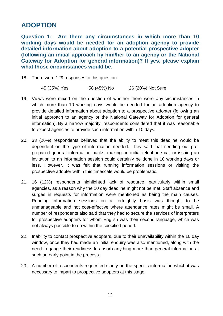# <span id="page-11-0"></span>**ADOPTION**

<span id="page-11-1"></span>**Question 1: Are there any circumstances in which more than 10 working days would be needed for an adoption agency to provide detailed information about adoption to a potential prospective adopter (following an initial approach by him/her to an agency or the National Gateway for Adoption for general information)? If yes, please explain what those circumstances would be.**

18. There were 129 responses to this question.

45 (35%) Yes 58 (45%) No 26 (20%) Not Sure

- 19. Views were mixed on the question of whether there were any circumstances in which more than 10 working days would be needed for an adoption agency to provide detailed information about adoption to a prospective adopter (following an initial approach to an agency or the National Gateway for Adoption for general information). By a narrow majority, respondents considered that it was reasonable to expect agencies to provide such information within 10 days.
- 20. 33 (26%) respondents believed that the ability to meet this deadline would be dependent on the type of information needed. They said that sending out preprepared general information packs, making an initial telephone call or issuing an invitation to an information session could certainly be done in 10 working days or less. However, it was felt that running information sessions or visiting the prospective adopter within this timescale would be problematic.
- 21. 16 (12%) respondents highlighted lack of resource, particularly within small agencies, as a reason why the 10 day deadline might not be met. Staff absence and surges in requests for information were mentioned as being the main causes. Running information sessions on a fortnightly basis was thought to be unmanageable and not cost-effective where attendance rates might be small. A number of respondents also said that they had to secure the services of interpreters for prospective adopters for whom English was their second language, which was not always possible to do within the specified period.
- 22. Inability to contact prospective adopters, due to their unavailability within the 10 day window, once they had made an initial enquiry was also mentioned, along with the need to gauge their readiness to absorb anything more than general information at such an early point in the process.
- 23. A number of respondents requested clarity on the specific information which it was necessary to impart to prospective adopters at this stage.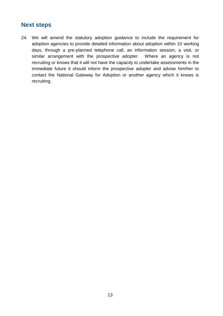## **Next steps**

24. We will amend the statutory adoption guidance to include the requirement for adoption agencies to provide detailed information about adoption within 10 working days, through a pre-planned telephone call, an information session, a visit, or similar arrangement with the prospective adopter. Where an agency is not recruiting or knows that it will not have the capacity to undertake assessments in the immediate future it should inform the prospective adopter and advise him/her to contact the National Gateway for Adoption or another agency which it knows is recruiting.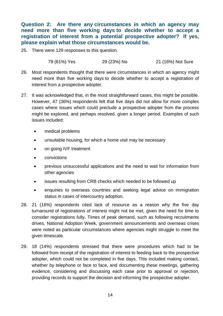<span id="page-13-0"></span>**Question 2: Are there any circumstances in which an agency may need more than five working days to decide whether to accept a registration of interest from a potential prospective adopter? If yes, please explain what those circumstances would be.**

25. There were 129 responses to this question.

79 (61%) Yes 29 (23%) No 21 (16%) Not Sure

- 26. Most respondents thought that there were circumstances in which an agency might need more than five working days to decide whether to accept a registration of interest from a prospective adopter.
- 27. It was acknowledged that, in the most straightforward cases, this might be possible. However, 47 (36%) respondents felt that five days did not allow for more complex cases where issues which could preclude a prospective adopter from the process might be explored, and perhaps resolved, given a longer period. Examples of such issues included:
	- medical problems
	- unsuitable housing, for which a home visit may be necessary
	- on going IVF treatment
	- convictions
	- previous unsuccessful applications and the need to wait for information from other agencies
	- issues resulting from CRB checks which needed to be followed up
	- enquiries to overseas countries and seeking legal advice on immigration status in cases of intercountry adoption.
- 28. 21 (16%) respondents cited lack of resource as a reason why the five day turnaround of registrations of interest might not be met, given the need for time to consider registrations fully. Times of peak demand, such as following recruitments drives, National Adoption Week, government announcements and overseas crises were noted as particular circumstances where agencies might struggle to meet the given timescale.
- 29. 18 (14%) respondents stressed that there were procedures which had to be followed from receipt of the registration of interest to feeding back to the prospective adopter, which could not be completed in five days. This included making contact, whether by telephone or face to face, and documenting these meetings, gathering evidence, considering and discussing each case prior to approval or rejection, providing records to support the decision and informing the prospective adopter.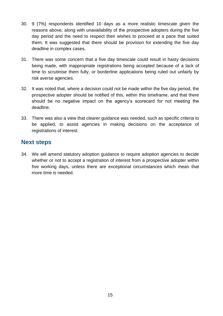- 30. 9 (7%) respondents identified 10 days as a more realistic timescale given the reasons above, along with unavailability of the prospective adopters during the five day period and the need to respect their wishes to proceed at a pace that suited them. It was suggested that there should be provision for extending the five day deadline in complex cases.
- 31. There was some concern that a five day timescale could result in hasty decisions being made, with inappropriate registrations being accepted because of a lack of time to scrutinise them fully, or borderline applications being ruled out unfairly by risk averse agencies.
- 32. It was noted that, where a decision could not be made within the five day period, the prospective adopter should be notified of this, within this timeframe, and that there should be no negative impact on the agency's scorecard for not meeting the deadline.
- 33. There was also a view that clearer guidance was needed, such as specific criteria to be applied, to assist agencies in making decisions on the acceptance of registrations of interest.

## **Next steps**

34. We will amend statutory adoption guidance to require adoption agencies to decide whether or not to accept a registration of interest from a prospective adopter within five working days, unless there are exceptional circumstances which mean that more time is needed.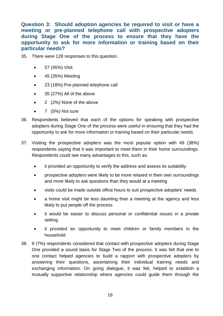<span id="page-15-0"></span>**Question 3: Should adoption agencies be required to visit or have a meeting or pre-planned telephone call with prospective adopters during Stage One of the process to ensure that they have the opportunity to ask for more information or training based on their particular needs?**

- 35. There were 128 responses to this question.
	- 57 (45%) Visit
	- 45 (35%) Meeting
	- 23 (18%) Pre-planned telephone call
	- 35 (27%) All of the above
	- 2 (2%) None of the above
	- $\bullet$  7 (5%) Not sure
- 36. Respondents believed that each of the options for speaking with prospective adopters during Stage One of the process were useful in ensuring that they had the opportunity to ask for more information or training based on their particular needs.
- 37. Visiting the prospective adopters was the most popular option with 49 (38%) respondents saying that it was important to meet them in their home surroundings. Respondents could see many advantages to this, such as:
	- it provided an opportunity to verify the address and assess its suitability
	- prospective adopters were likely to be more relaxed in their own surroundings and more likely to ask questions than they would at a meeting
	- visits could be made outside office hours to suit prospective adopters' needs
	- a home visit might be less daunting than a meeting at the agency and less likely to put people off the process
	- it would be easier to discuss personal or confidential issues in a private setting
	- it provided an opportunity to meet children or family members in the household.
- 38. 9 (7%) respondents considered that contact with prospective adopters during Stage One provided a sound basis for Stage Two of the process. It was felt that one to one contact helped agencies to build a rapport with prospective adopters by answering their questions, ascertaining their individual training needs and exchanging information. On going dialogue, it was felt, helped to establish a mutually supportive relationship where agencies could guide them through the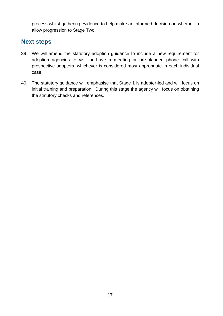process whilst gathering evidence to help make an informed decision on whether to allow progression to Stage Two.

## **Next steps**

- 39. We will amend the statutory adoption guidance to include a new requirement for adoption agencies to visit or have a meeting or pre-planned phone call with prospective adopters, whichever is considered most appropriate in each individual case.
- 40. The statutory guidance will emphasise that Stage 1 is adopter-led and will focus on initial training and preparation. During this stage the agency will focus on obtaining the statutory checks and references.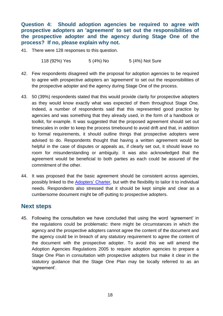<span id="page-17-0"></span>**Question 4: Should adoption agencies be required to agree with prospective adopters an 'agreement' to set out the responsibilities of the prospective adopter and the agency during Stage One of the process? If no, please explain why not.**

41. There were 128 responses to this question.

118 (92%) Yes 5 (4%) No 5 (4%) Not Sure

- 42. Few respondents disagreed with the proposal for adoption agencies to be required to agree with prospective adopters an 'agreement' to set out the responsibilities of the prospective adopter and the agency during Stage One of the process.
- 43. 50 (39%) respondents stated that this would provide clarity for prospective adopters as they would know exactly what was expected of them throughout Stage One. Indeed, a number of respondents said that this represented good practice by agencies and was something that they already used, in the form of a handbook or toolkit, for example. It was suggested that the proposed agreement should set out timescales in order to keep the process timebound to avoid drift and that, in addition to formal requirements, it should outline things that prospective adopters were advised to do. Respondents thought that having a written agreement would be helpful in the case of disputes or appeals as, if clearly set out, it should leave no room for misunderstanding or ambiguity. It was also acknowledged that the agreement would be beneficial to both parties as each could be assured of the commitment of the other.
- 44. It was proposed that the basic agreement should be consistent across agencies, possibly linked to the [Adopters'](http://www.education.gov.uk/childrenandyoungpeople/families/adoption/a00199762/government-launches-the-adopters-charter) Charter, but with the flexibility to tailor it to individual needs. Respondents also stressed that it should be kept simple and clear as a cumbersome document might be off-putting to prospective adopters.

## **Next steps**

45. Following the consultation we have concluded that using the word 'agreement' in the regulations could be problematic: there might be circumstances in which the agency and the prospective adopters cannot agree the content of the document and the agency could be in breach of any statutory requirement to agree the content of the document with the prospective adopter. To avoid this we will amend the Adoption Agencies Regulations 2005 to require adoption agencies to prepare a Stage One Plan in consultation with prospective adopters but make it clear in the statutory guidance that the Stage One Plan may be locally referred to as an 'agreement'.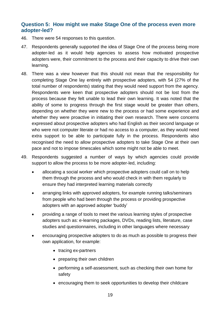#### <span id="page-18-0"></span>**Question 5: How might we make Stage One of the process even more adopter-led?**

- 46. There were 54 responses to this question.
- 47. Respondents generally supported the idea of Stage One of the process being more adopter-led as it would help agencies to assess how motivated prospective adopters were, their commitment to the process and their capacity to drive their own learning.
- 48. There was a view however that this should not mean that the responsibility for completing Stage One lay entirely with prospective adopters, with 54 (27% of the total number of respondents) stating that they would need support from the agency. Respondents were keen that prospective adopters should not be lost from the process because they felt unable to lead their own learning. It was noted that the ability of some to progress through the first stage would be greater than others, depending on whether they were new to the process or had some experience and whether they were proactive in initiating their own research. There were concerns expressed about prospective adopters who had English as their second language or who were not computer literate or had no access to a computer, as they would need extra support to be able to participate fully in the process. Respondents also recognised the need to allow prospective adopters to take Stage One at their own pace and not to impose timescales which some might not be able to meet.
- 49. Respondents suggested a number of ways by which agencies could provide support to allow the process to be more adopter-led, including:
	- allocating a social worker which prospective adopters could call on to help them through the process and who would check in with them regularly to ensure they had interpreted learning materials correctly
	- arranging links with approved adopters, for example running talks/seminars from people who had been through the process or providing prospective adopters with an approved adopter 'buddy'
	- providing a range of tools to meet the various learning styles of prospective adopters such as: e-learning packages, DVDs, reading lists, literature, case studies and questionnaires, including in other languages where necessary
	- encouraging prospective adopters to do as much as possible to progress their own application, for example:
		- tracing ex-partners
		- preparing their own children
		- performing a self-assessment, such as checking their own home for safety
		- encouraging them to seek opportunities to develop their childcare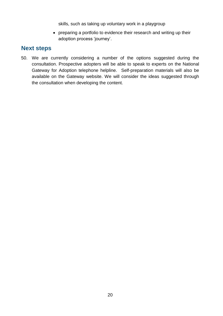skills, such as taking up voluntary work in a playgroup

 preparing a portfolio to evidence their research and writing up their adoption process 'journey'.

## **Next steps**

50. We are currently considering a number of the options suggested during the consultation. Prospective adopters will be able to speak to experts on the National Gateway for Adoption telephone helpline. Self-preparation materials will also be available on the Gateway website. We will consider the ideas suggested through the consultation when developing the content.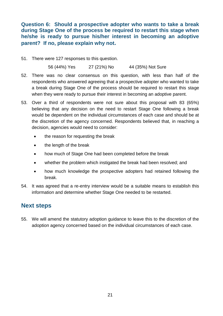<span id="page-20-0"></span>**Question 6: Should a prospective adopter who wants to take a break during Stage One of the process be required to restart this stage when he/she is ready to pursue his/her interest in becoming an adoptive parent? If no, please explain why not.**

51. There were 127 responses to this question.

56 (44%) Yes 27 (21%) No 44 (35%) Not Sure

- 52. There was no clear consensus on this question, with less than half of the respondents who answered agreeing that a prospective adopter who wanted to take a break during Stage One of the process should be required to restart this stage when they were ready to pursue their interest in becoming an adoptive parent.
- 53. Over a third of respondents were not sure about this proposal with 83 (65%) believing that any decision on the need to restart Stage One following a break would be dependent on the individual circumstances of each case and should be at the discretion of the agency concerned. Respondents believed that, in reaching a decision, agencies would need to consider:
	- the reason for requesting the break
	- the length of the break
	- how much of Stage One had been completed before the break
	- whether the problem which instigated the break had been resolved; and
	- how much knowledge the prospective adopters had retained following the break.
- 54. It was agreed that a re-entry interview would be a suitable means to establish this information and determine whether Stage One needed to be restarted.

## **Next steps**

55. We will amend the statutory adoption guidance to leave this to the discretion of the adoption agency concerned based on the individual circumstances of each case.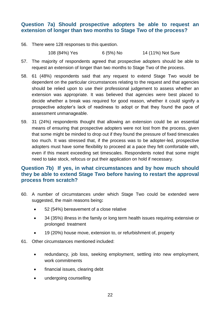#### <span id="page-21-0"></span>**Question 7a) Should prospective adopters be able to request an extension of longer than two months to Stage Two of the process?**

56. There were 128 responses to this question.

108 (84%) Yes 6 (5%) No 14 (11%) Not Sure

- 57. The majority of respondents agreed that prospective adopters should be able to request an extension of longer than two months to Stage Two of the process.
- 58. 61 (48%) respondents said that any request to extend Stage Two would be dependent on the particular circumstances relating to the request and that agencies should be relied upon to use their professional judgement to assess whether an extension was appropriate. It was believed that agencies were best placed to decide whether a break was required for good reason, whether it could signify a prospective adopter's lack of readiness to adopt or that they found the pace of assessment unmanageable.
- 59. 31 (24%) respondents thought that allowing an extension could be an essential means of ensuring that prospective adopters were not lost from the process, given that some might be minded to drop out if they found the pressure of fixed timescales too much. It was stressed that, if the process was to be adopter-led, prospective adopters must have some flexibility to proceed at a pace they felt comfortable with, even if this meant exceeding set timescales. Respondents noted that some might need to take stock, refocus or put their application on hold if necessary.

#### <span id="page-21-1"></span>**Question 7b) If yes, in what circumstances and by how much should they be able to extend Stage Two before having to restart the approval process from scratch?**

- 60. A number of circumstances under which Stage Two could be extended were suggested, the main reasons being**:** 
	- 52 (54%) bereavement of a close relative
	- 34 (35%) illness in the family or long term health issues requiring extensive or prolonged treatment
	- 19 (20%) house move, extension to, or refurbishment of, property
- 61. Other circumstances mentioned included:
	- redundancy, job loss, seeking employment, settling into new employment, work commitments
	- financial issues, clearing debt
	- undergoing counselling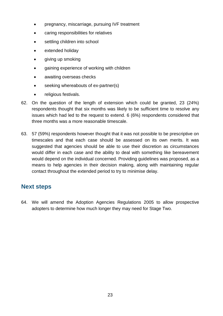- pregnancy, miscarriage, pursuing IVF treatment
- caring responsibilities for relatives
- settling children into school
- extended holiday
- giving up smoking
- aaining experience of working with children
- awaiting overseas checks
- **•** seeking whereabouts of ex-partner(s)
- religious festivals.
- 62. On the question of the length of extension which could be granted, 23 (24%) respondents thought that six months was likely to be sufficient time to resolve any issues which had led to the request to extend. 6 (6%) respondents considered that three months was a more reasonable timescale.
- 63. 57 (59%) respondents however thought that it was not possible to be prescriptive on timescales and that each case should be assessed on its own merits. It was suggested that agencies should be able to use their discretion as circumstances would differ in each case and the ability to deal with something like bereavement would depend on the individual concerned. Providing guidelines was proposed, as a means to help agencies in their decision making, along with maintaining regular contact throughout the extended period to try to minimise delay.

## **Next steps**

64. We will amend the Adoption Agencies Regulations 2005 to allow prospective adopters to determine how much longer they may need for Stage Two.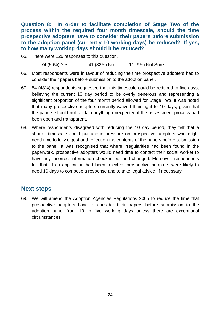<span id="page-23-0"></span>**Question 8: In order to facilitate completion of Stage Two of the process within the required four month timescale, should the time prospective adopters have to consider their papers before submission to the adoption panel (currently 10 working days) be reduced? If yes, to how many working days should it be reduced?**

65. There were 126 responses to this question.

74 (59%) Yes 41 (32%) No 11 (9%) Not Sure

- 66. Most respondents were in favour of reducing the time prospective adopters had to consider their papers before submission to the adoption panel.
- 67. 54 (43%) respondents suggested that this timescale could be reduced to five days, believing the current 10 day period to be overly generous and representing a significant proportion of the four month period allowed for Stage Two. It was noted that many prospective adopters currently waived their right to 10 days, given that the papers should not contain anything unexpected if the assessment process had been open and transparent.
- 68. Where respondents disagreed with reducing the 10 day period, they felt that a shorter timescale could put undue pressure on prospective adopters who might need time to fully digest and reflect on the contents of the papers before submission to the panel. It was recognised that where irregularities had been found in the paperwork, prospective adopters would need time to contact their social worker to have any incorrect information checked out and changed. Moreover, respondents felt that, if an application had been rejected, prospective adopters were likely to need 10 days to compose a response and to take legal advice, if necessary.

## **Next steps**

69. We will amend the Adoption Agencies Regulations 2005 to reduce the time that prospective adopters have to consider their papers before submission to the adoption panel from 10 to five working days unless there are exceptional circumstances.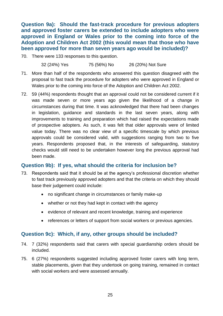<span id="page-24-0"></span>**Question 9a): Should the fast-track procedure for previous adopters and approved foster carers be extended to include adopters who were approved in England or Wales prior to the coming into force of the Adoption and Children Act 2002 (this would mean that those who have been approved for more than seven years ago would be included)?**

70. There were 133 responses to this question.

32 (24%) Yes 75 (56%) No 26 (20%) Not Sure

- 71. More than half of the respondents who answered this question disagreed with the proposal to fast track the procedure for adopters who were approved in England or Wales prior to the coming into force of the Adoption and Children Act 2002.
- 72. 59 (44%) respondents thought that an approval could not be considered current if it was made seven or more years ago given the likelihood of a change in circumstances during that time. It was acknowledged that there had been changes in legislation, guidance and standards in the last seven years, along with improvements to training and preparation which had raised the expectations made of prospective adopters. As such, it was felt that older approvals were of limited value today. There was no clear view of a specific timescale by which previous approvals could be considered valid, with suggestions ranging from two to five years. Respondents proposed that, in the interests of safeguarding, statutory checks would still need to be undertaken however long the previous approval had been made.

#### <span id="page-24-1"></span>**Question 9b): If yes, what should the criteria for inclusion be?**

- 73. Respondents said that it should be at the agency's professional discretion whether to fast track previously approved adopters and that the criteria on which they should base their judgement could include:
	- no significant change in circumstances or family make-up
	- whether or not they had kept in contact with the agency
	- evidence of relevant and recent knowledge, training and experience
	- references or letters of support from social workers or previous agencies.

#### <span id="page-24-2"></span>**Question 9c): Which, if any, other groups should be included?**

- 74. 7 (32%) respondents said that carers with special guardianship orders should be included.
- 75. 6 (27%) respondents suggested including approved foster carers with long term, stable placements, given that they undertook on going training, remained in contact with social workers and were assessed annually.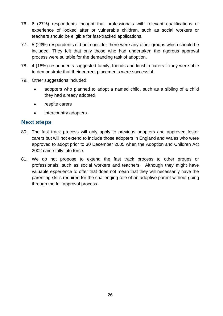- 76. 6 (27%) respondents thought that professionals with relevant qualifications or experience of looked after or vulnerable children, such as social workers or teachers should be eligible for fast-tracked applications.
- 77. 5 (23%) respondents did not consider there were any other groups which should be included. They felt that only those who had undertaken the rigorous approval process were suitable for the demanding task of adoption.
- 78. 4 (18%) respondents suggested family, friends and kinship carers if they were able to demonstrate that their current placements were successful.
- 79. Other suggestions included:
	- adopters who planned to adopt a named child, such as a sibling of a child they had already adopted
	- respite carers
	- intercountry adopters.

## **Next steps**

- 80. The fast track process will only apply to previous adopters and approved foster carers but will not extend to include those adopters in England and Wales who were approved to adopt prior to 30 December 2005 when the Adoption and Children Act 2002 came fully into force.
- 81. We do not propose to extend the fast track process to other groups or professionals, such as social workers and teachers. Although they might have valuable experience to offer that does not mean that they will necessarily have the parenting skills required for the challenging role of an adoptive parent without going through the full approval process.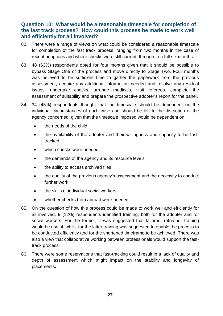#### <span id="page-26-0"></span>**Question 10: What would be a reasonable timescale for completion of the fast track process? How could this process be made to work well and efficiently for all involved?**

- 82. There were a range of views on what could be considered a reasonable timescale for completion of the fast track process, ranging from two months in the case of recent adoptions and where checks were still current, through to a full six months.
- 83. 48 (63%) respondents opted for four months given that it should be possible to bypass Stage One of the process and move directly to Stage Two. Four months was believed to be sufficient time to gather the paperwork from the previous assessment, acquire any additional information needed and resolve any residual issues, undertake checks, arrange medicals, visit referees, complete the assessment of suitability and prepare the prospective adopter's report for the panel.
- 84. 34 (45%) respondents thought that the timescale should be dependent on the individual circumstances of each case and should be left to the discretion of the agency concerned, given that the timescale imposed would be dependent on:
	- **•** the needs of the child
	- the availability of the adopter and their willingness and capacity to be fasttracked
	- which checks were needed
	- the demands of the agency and its resource levels
	- the ability to access archived files
	- the quality of the previous agency's assessment and the necessity to conduct further work
	- the skills of individual social workers
	- whether checks from abroad were needed.
- 85. On the question of how this process could be made to work well and efficiently for all involved, 9 (12%) respondents identified training, both for the adopter and for social workers. For the former, it was suggested that tailored, refresher training would be useful, whilst for the latter training was suggested to enable the process to be conducted efficiently and for the shortened timeframe to be achieved. There was also a view that collaborative working between professionals would support the fasttrack process.
- 86. There were some reservations that fast-tracking could result in a lack of quality and depth of assessment which might impact on the stability and longevity of placements**.**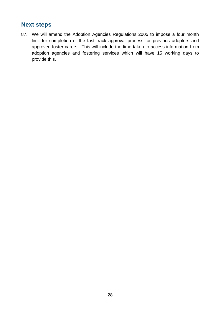## **Next steps**

87. We will amend the Adoption Agencies Regulations 2005 to impose a four month limit for completion of the fast track approval process for previous adopters and approved foster carers. This will include the time taken to access information from adoption agencies and fostering services which will have 15 working days to provide this.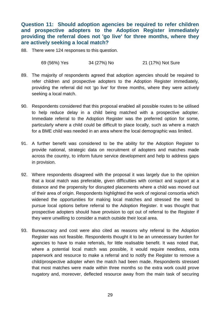<span id="page-28-0"></span>**Question 11: Should adoption agencies be required to refer children and prospective adopters to the Adoption Register immediately providing the referral does not 'go live' for three months, where they are actively seeking a local match?** 

88. There were 124 responses to this question.

69 (56%) Yes 34 (27%) No 21 (17%) Not Sure

- 89. The majority of respondents agreed that adoption agencies should be required to refer children and prospective adopters to the Adoption Register immediately, providing the referral did not 'go live' for three months, where they were actively seeking a local match.
- 90. Respondents considered that this proposal enabled all possible routes to be utilised to help reduce delay in a child being matched with a prospective adopter. Immediate referral to the Adoption Register was the preferred option for some, particularly where a child could be difficult to place locally, such as where a match for a BME child was needed in an area where the local demographic was limited.
- 91. A further benefit was considered to be the ability for the Adoption Register to provide national, strategic data on recruitment of adopters and matches made across the country, to inform future service development and help to address gaps in provision.
- 92. Where respondents disagreed with the proposal it was largely due to the opinion that a local match was preferable, given difficulties with contact and support at a distance and the propensity for disrupted placements where a child was moved out of their area of origin. Respondents highlighted the work of regional consortia which widened the opportunities for making local matches and stressed the need to pursue local options before referral to the Adoption Register. It was thought that prospective adopters should have provision to opt out of referral to the Register if they were unwilling to consider a match outside their local area.
- 93. Bureaucracy and cost were also cited as reasons why referral to the Adoption Register was not feasible. Respondents thought it to be an unnecessary burden for agencies to have to make referrals, for little realisable benefit. It was noted that, where a potential local match was possible, it would require needless, extra paperwork and resource to make a referral and to notify the Register to remove a child/prospective adopter when the match had been made. Respondents stressed that most matches were made within three months so the extra work could prove nugatory and, moreover, deflected resource away from the main task of securing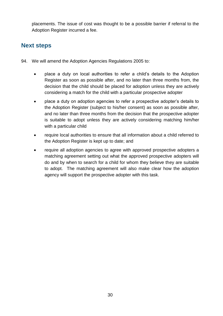placements. The issue of cost was thought to be a possible barrier if referral to the Adoption Register incurred a fee.

## **Next steps**

- 94. We will amend the Adoption Agencies Regulations 2005 to:
	- place a duty on local authorities to refer a child's details to the Adoption Register as soon as possible after, and no later than three months from, the decision that the child should be placed for adoption unless they are actively considering a match for the child with a particular prospective adopter
	- place a duty on adoption agencies to refer a prospective adopter's details to the Adoption Register (subject to his/her consent) as soon as possible after, and no later than three months from the decision that the prospective adopter is suitable to adopt unless they are actively considering matching him/her with a particular child
	- require local authorities to ensure that all information about a child referred to the Adoption Register is kept up to date; and
	- require all adoption agencies to agree with approved prospective adopters a matching agreement setting out what the approved prospective adopters will do and by when to search for a child for whom they believe they are suitable to adopt.The matching agreement will also make clear how the adoption agency will support the prospective adopter with this task.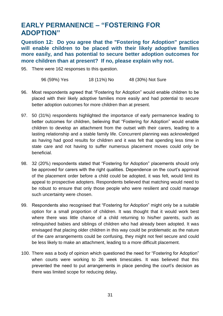# <span id="page-30-0"></span>**EARLY PERMANENCE – "FOSTERING FOR ADOPTION"**

<span id="page-30-1"></span>**Question 12: Do you agree that the "Fostering for Adoption" practice will enable children to be placed with their likely adoptive families more easily, and has potential to secure better adoption outcomes for more children than at present? If no, please explain why not.**

95. There were 162 responses to this question.

96 (59%) Yes 18 (11%) No 48 (30%) Not Sure

- 96. Most respondents agreed that "Fostering for Adoption" would enable children to be placed with their likely adoptive families more easily and had potential to secure better adoption outcomes for more children than at present.
- 97. 50 (31%) respondents highlighted the importance of early permanence leading to better outcomes for children, believing that "Fostering for Adoption" would enable children to develop an attachment from the outset with their carers, leading to a lasting relationship and a stable family life. Concurrent planning was acknowledged as having had good results for children and it was felt that spending less time in state care and not having to suffer numerous placement moves could only be beneficial.
- 98. 32 (20%) respondents stated that "Fostering for Adoption" placements should only be approved for carers with the right qualities. Dependence on the court's approval of the placement order before a child could be adopted, it was felt, would limit its appeal to prospective adopters. Respondents believed that matching would need to be robust to ensure that only those people who were resilient and could manage such uncertainty were chosen.
- 99. Respondents also recognised that "Fostering for Adoption" might only be a suitable option for a small proportion of children. It was thought that it would work best where there was little chance of a child returning to his/her parents, such as relinquished babies and siblings of children who had already been adopted. It was envisaged that placing older children in this way could be problematic as the nature of the care arrangements could be confusing, they might not feel secure and could be less likely to make an attachment, leading to a more difficult placement.
- 100. There was a body of opinion which questioned the need for "Fostering for Adoption" when courts were working to 26 week timescales. It was believed that this prevented the need to put arrangements in place pending the court's decision as there was limited scope for reducing delay**.**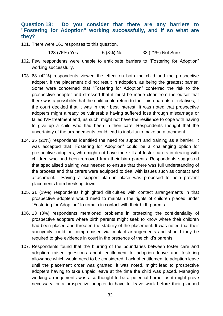#### <span id="page-31-0"></span>**Question 13: Do you consider that there are any barriers to "Fostering for Adoption" working successfully, and if so what are they?**

101. There were 161 responses to this question.

123 (76%) Yes 5 (3%) No 33 (21%) Not Sure

- 102. Few respondents were unable to anticipate barriers to "Fostering for Adoption" working successfully.
- 103. 68 (42%) respondents viewed the effect on both the child and the prospective adopter, if the placement did not result in adoption, as being the greatest barrier. Some were concerned that "Fostering for Adoption" conferred the risk to the prospective adopter and stressed that it must be made clear from the outset that there was a possibility that the child could return to their birth parents or relatives, if the court decided that it was in their best interest. It was noted that prospective adopters might already be vulnerable having suffered loss through miscarriage or failed IVF treatment and, as such, might not have the resilience to cope with having to give up a child who had been in their care. Respondents thought that the uncertainty of the arrangements could lead to inability to make an attachment.
- 104. 35 (22%) respondents identified the need for support and training as a barrier. It was accepted that "Fostering for Adoption" could be a challenging option for prospective adopters, who might not have the skills of foster carers in dealing with children who had been removed from their birth parents. Respondents suggested that specialised training was needed to ensure that there was full understanding of the process and that carers were equipped to deal with issues such as contact and attachment. Having a support plan in place was proposed to help prevent placements from breaking down.
- 105. 31 (19%) respondents highlighted difficulties with contact arrangements in that prospective adopters would need to maintain the rights of children placed under "Fostering for Adoption" to remain in contact with their birth parents.
- 106. 13 (8%) respondents mentioned problems in protecting the confidentiality of prospective adopters where birth parents might seek to know where their children had been placed and threaten the stability of the placement. It was noted that their anonymity could be compromised via contact arrangements and should they be required to give evidence in court in the presence of the child's parents.
- 107. Respondents found that the blurring of the boundaries between foster care and adoption raised questions about entitlement to adoption leave and fostering allowance which would need to be considered. Lack of entitlement to adoption leave until the placement order was granted, it was noted, might lead to prospective adopters having to take unpaid leave at the time the child was placed. Managing working arrangements was also thought to be a potential barrier as it might prove necessary for a prospective adopter to have to leave work before their planned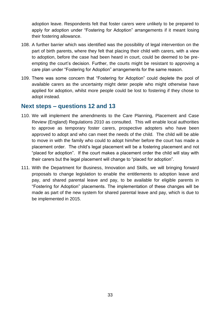adoption leave. Respondents felt that foster carers were unlikely to be prepared to apply for adoption under "Fostering for Adoption" arrangements if it meant losing their fostering allowance.

- 108. A further barrier which was identified was the possibility of legal intervention on the part of birth parents, where they felt that placing their child with carers, with a view to adoption, before the case had been heard in court, could be deemed to be preempting the court's decision. Further, the courts might be resistant to approving a care plan under "Fostering for Adoption" arrangements for the same reason.
- 109. There was some concern that "Fostering for Adoption" could deplete the pool of available carers as the uncertainty might deter people who might otherwise have applied for adoption, whilst more people could be lost to fostering if they chose to adopt instead.

## **Next steps – questions 12 and 13**

- 110. We will implement the amendments to the Care Planning, Placement and Case Review (England) Regulations 2010 as consulted. This will enable local authorities to approve as temporary foster carers, prospective adopters who have been approved to adopt and who can meet the needs of the child. The child will be able to move in with the family who could to adopt him/her before the court has made a placement order. The child's legal placement will be a fostering placement and not "placed for adoption". If the court makes a placement order the child will stay with their carers but the legal placement will change to "placed for adoption".
- 111. With the Department for Business, Innovation and Skills, we will bringing forward proposals to change legislation to enable the entitlements to adoption leave and pay, and shared parental leave and pay, to be available for eligible parents in "Fostering for Adoption" placements. The implementation of these changes will be made as part of the new system for shared parental leave and pay, which is due to be implemented in 2015.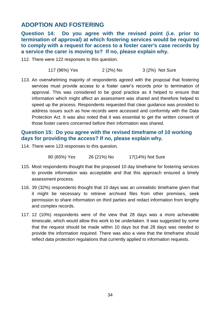## <span id="page-33-0"></span>**ADOPTION AND FOSTERING**

<span id="page-33-1"></span>**Question 14: Do you agree with the revised point (i.e. prior to termination of approval) at which fostering services would be required to comply with a request for access to a foster carer's case records by a service the carer is moving to? If no, please explain why.**

- 112. There were 122 responses to this question.
	- 117 (96%) Yes 2 (2%) No 3 (2%) Not Sure
- 113. An overwhelming majority of respondents agreed with the proposal that fostering services must provide access to a foster carer's records prior to termination of approval. This was considered to be good practice as it helped to ensure that information which might affect an assessment was shared and therefore helped to speed up the process. Respondents requested that clear guidance was provided to address issues such as how records were accessed and conformity with the Data Protection Act. It was also noted that it was essential to get the written consent of those foster carers concerned before their information was shared.

#### <span id="page-33-2"></span>**Question 15: Do you agree with the revised timeframe of 10 working days for providing the access? If no, please explain why.**

114. There were 123 responses to this question.

80 (65%) Yes 26 (21%) No 17(14%) Not Sure

- 115. Most respondents thought that the proposed 10 day timeframe for fostering services to provide information was acceptable and that this approach ensured a timely assessment process.
- 116. 39 (32%) respondents thought that 10 days was an unrealistic timeframe given that it might be necessary to retrieve archived files from other premises, seek permission to share information on third parties and redact information from lengthy and complex records.
- 117. 12 (10%) respondents were of the view that 28 days was a more achievable timescale, which would allow this work to be undertaken. It was suggested by some that the request should be made within 10 days but that 28 days was needed to provide the information required. There was also a view that the timeframe should reflect data protection regulations that currently applied to information requests.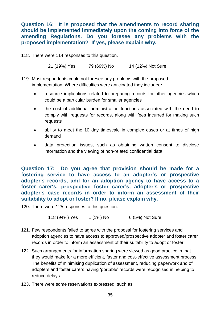<span id="page-34-0"></span>**Question 16: It is proposed that the amendments to record sharing should be implemented immediately upon the coming into force of the amending Regulations. Do you foresee any problems with the proposed implementation? If yes, please explain why.**

118. There were 114 responses to this question.

21 (19%) Yes 79 (69%) No 14 (12%) Not Sure

- 119. Most respondents could not foresee any problems with the proposed implementation. Where difficulties were anticipated they included**:**
	- resource implications related to preparing records for other agencies which could be a particular burden for smaller agencies
	- the cost of additional administration functions associated with the need to comply with requests for records, along with fees incurred for making such requests
	- ability to meet the 10 day timescale in complex cases or at times of high demand
	- data protection issues, such as obtaining written consent to disclose information and the viewing of non-related confidential data.

<span id="page-34-1"></span>**Question 17: Do you agree that provision should be made for a fostering service to have access to an adopter's or prospective adopter's records, and for an adoption agency to have access to a foster carer's, prospective foster carer's, adopter's or prospective adopter's case records in order to inform an assessment of their suitability to adopt or foster? If no, please explain why.**

120. There were 125 responses to this question.

118 (94%) Yes 1 (1%) No 6 (5%) Not Sure

- 121. Few respondents failed to agree with the proposal for fostering services and adoption agencies to have access to approved/prospective adopter and foster carer records in order to inform an assessment of their suitability to adopt or foster.
- 122. Such arrangements for information sharing were viewed as good practice in that they would make for a more efficient, faster and cost-effective assessment process. The benefits of minimising duplication of assessment, reducing paperwork and of adopters and foster carers having 'portable' records were recognised in helping to reduce delays.
- 123. There were some reservations expressed, such as: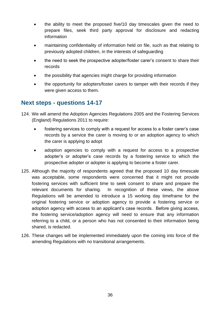- the ability to meet the proposed five/10 day timescales given the need to prepare files, seek third party approval for disclosure and redacting information
- maintaining confidentiality of information held on file, such as that relating to previously adopted children, in the interests of safeguarding
- the need to seek the prospective adopter/foster carer's consent to share their records
- the possibility that agencies might charge for providing information
- the opportunity for adopters/foster carers to tamper with their records if they were given access to them.

## **Next steps - questions 14-17**

- 124. We will amend the Adoption Agencies Regulations 2005 and the Fostering Services (England) Regulations 2011 to require:
	- fostering services to comply with a request for access to a foster carer's case records by a service the carer is moving to or an adoption agency to which the carer is applying to adopt
	- adoption agencies to comply with a request for access to a prospective adopter's or adopter's case records by a fostering service to which the prospective adopter or adopter is applying to become a foster carer.
- 125. Although the majority of respondents agreed that the proposed 10 day timescale was acceptable, some respondents were concerned that it might not provide fostering services with sufficient time to seek consent to share and prepare the relevant documents for sharing. In recognition of these views, the above Regulations will be amended to introduce a 15 working day timeframe for the original fostering service or adoption agency to provide a fostering service or adoption agency with access to an applicant's case records. Before giving access, the fostering service/adoption agency will need to ensure that any information referring to a child, or a person who has not consented to their information being shared, is redacted.
- 126. These changes will be implemented immediately upon the coming into force of the amending Regulations with no transitional arrangements.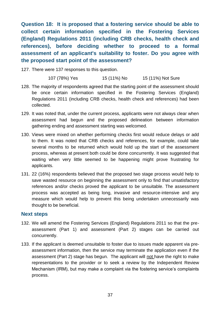<span id="page-36-0"></span>**Question 18: It is proposed that a fostering service should be able to collect certain information specified in the Fostering Services (England) Regulations 2011 (including CRB checks, health check and references), before deciding whether to proceed to a formal assessment of an applicant's suitability to foster. Do you agree with the proposed start point of the assessment?**

127. There were 137 responses to this question.

107 (78%) Yes 15 (11%) No 15 (11%) Not Sure

- 128. The majority of respondents agreed that the starting point of the assessment should be once certain information specified in the Fostering Services (England) Regulations 2011 (including CRB checks, health check and references) had been collected.
- 129. It was noted that, under the current process, applicants were not always clear when assessment had begun and the proposed delineation between information gathering ending and assessment starting was welcomed.
- 130. Views were mixed on whether performing checks first would reduce delays or add to them. It was noted that CRB checks and references, for example, could take several months to be returned which would hold up the start of the assessment process, whereas at present both could be done concurrently. It was suggested that waiting when very little seemed to be happening might prove frustrating for applicants.
- 131. 22 (16%) respondents believed that the proposed two stage process would help to save wasted resource on beginning the assessment only to find that unsatisfactory references and/or checks proved the applicant to be unsuitable. The assessment process was accepted as being long, invasive and resource-intensive and any measure which would help to prevent this being undertaken unnecessarily was thought to be beneficial.

#### **Next steps**

- 132. We will amend the Fostering Services (England) Regulations 2011 so that the preassessment (Part 1) and assessment (Part 2) stages can be carried out concurrently.
- 133. If the applicant is deemed unsuitable to foster due to issues made apparent via preassessment information, then the service may terminate the application even if the assessment (Part 2) stage has begun. The applicant will not have the right to make representations to the provider or to seek a review by the Independent Review Mechanism (IRM), but may make a complaint via the fostering service's complaints process.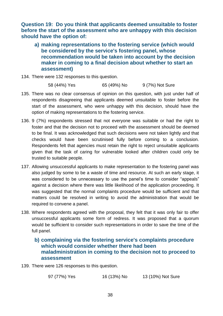<span id="page-37-0"></span>**Question 19: Do you think that applicants deemed unsuitable to foster before the start of the assessment who are unhappy with this decision should have the option of:**

- <span id="page-37-1"></span>**a) making representations to the fostering service (which would be considered by the service's fostering panel, whose recommendation would be taken into account by the decision maker in coming to a final decision about whether to start an assessment)**
- 134. There were 132 responses to this question.

58 (44%) Yes 65 (49%) No 9 (7%) Not Sure

- 135. There was no clear consensus of opinion on this question, with just under half of respondents disagreeing that applicants deemed unsuitable to foster before the start of the assessment, who were unhappy with this decision, should have the option of making representations to the fostering service.
- 136. 9 (7%) respondents stressed that not everyone was suitable or had the right to foster and that the decision not to proceed with the assessment should be deemed to be final. It was acknowledged that such decisions were not taken lightly and that checks would have been scrutinised fully before coming to a conclusion. Respondents felt that agencies must retain the right to reject unsuitable applicants given that the task of caring for vulnerable looked after children could only be trusted to suitable people.
- 137. Allowing unsuccessful applicants to make representation to the fostering panel was also judged by some to be a waste of time and resource. At such an early stage, it was considered to be unnecessary to use the panel's time to consider "appeals" against a decision where there was little likelihood of the application proceeding. It was suggested that the normal complaints procedure would be sufficient and that matters could be resolved in writing to avoid the administration that would be required to convene a panel.
- 138. Where respondents agreed with the proposal, they felt that it was only fair to offer unsuccessful applicants some form of redress. It was proposed that a quorum would be sufficient to consider such representations in order to save the time of the full panel.

#### <span id="page-37-2"></span>**b) complaining via the fostering service's complaints procedure which would consider whether there had been maladministration in coming to the decision not to proceed to assessment**

139. There were 126 responses to this question.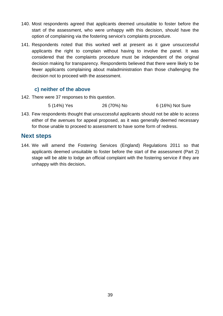- 140. Most respondents agreed that applicants deemed unsuitable to foster before the start of the assessment, who were unhappy with this decision, should have the option of complaining via the fostering service's complaints procedure.
- 141. Respondents noted that this worked well at present as it gave unsuccessful applicants the right to complain without having to involve the panel. It was considered that the complaints procedure must be independent of the original decision making for transparency. Respondents believed that there were likely to be fewer applicants complaining about maladministration than those challenging the decision not to proceed with the assessment.

#### **c) neither of the above**

<span id="page-38-0"></span>142. There were 37 responses to this question.

5 (14%) Yes 26 (70%) No 6 (16%) Not Sure

143. Few respondents thought that unsuccessful applicants should not be able to access either of the avenues for appeal proposed, as it was generally deemed necessary for those unable to proceed to assessment to have some form of redress.

## **Next steps**

144. We will amend the Fostering Services (England) Regulations 2011 so that applicants deemed unsuitable to foster before the start of the assessment (Part 2) stage will be able to lodge an official complaint with the fostering service if they are unhappy with this decision**.**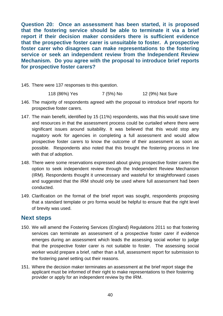<span id="page-39-0"></span>**Question 20: Once an assessment has been started, it is proposed that the fostering service should be able to terminate it via a brief report if their decision maker considers there is sufficient evidence that the prospective foster carer is unsuitable to foster. A prospective foster carer who disagrees can make representations to the fostering service or seek an independent review from the Independent Review Mechanism. Do you agree with the proposal to introduce brief reports for prospective foster carers?**

145. There were 137 responses to this question.

118 (86%) Yes 7 (5%) No 12 (9%) Not Sure

- 146. The majority of respondents agreed with the proposal to introduce brief reports for prospective foster carers.
- 147. The main benefit, identified by 15 (11%) respondents, was that this would save time and resources in that the assessment process could be curtailed where there were significant issues around suitability. It was believed that this would stop any nugatory work for agencies in completing a full assessment and would allow prospective foster carers to know the outcome of their assessment as soon as possible. Respondents also noted that this brought the fostering process in line with that of adoption.
- 148. There were some reservations expressed about giving prospective foster carers the option to seek independent review through the Independent Review Mechanism (IRM). Respondents thought it unnecessary and wasteful for straightforward cases and suggested that the IRM should only be used where full assessment had been conducted.
- 149. Clarification on the format of the brief report was sought, respondents proposing that a standard template or pro forma would be helpful to ensure that the right level of brevity was used.

## **Next steps**

- 150. We will amend the Fostering Services (England) Regulations 2011 so that fostering services can terminate an assessment of a prospective foster carer if evidence emerges during an assessment which leads the assessing social worker to judge that the prospective foster carer is not suitable to foster. The assessing social worker would prepare a brief, rather than a full, assessment report for submission to the fostering panel setting out their reasons.
- 151. Where the decision maker terminates an assessment at the brief report stage the applicant must be informed of their right to make representations to their fostering provider or apply for an independent review by the IRM.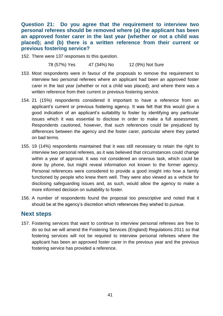<span id="page-40-0"></span>**Question 21: Do you agree that the requirement to interview two personal referees should be removed where (a) the applicant has been an approved foster carer in the last year (whether or not a child was placed); and (b) there is a written reference from their current or previous fostering service?**

152. There were 137 responses to this question.

78 (57%) Yes 47 (34%) No 12 (9%) Not Sure

- 153. Most respondents were in favour of the proposals to remove the requirement to interview two personal referees where an applicant had been an approved foster carer in the last year (whether or not a child was placed); and where there was a written reference from their current or previous fostering service.
- 154. 21 (15%) respondents considered it important to have a reference from an applicant's current or previous fostering agency. It was felt that this would give a good indication of an applicant's suitability to foster by identifying any particular issues which it was essential to disclose in order to make a full assessment. Respondents cautioned, however, that such references could be prejudiced by differences between the agency and the foster carer, particular where they parted on bad terms.
- 155. 19 (14%) respondents maintained that it was still necessary to retain the right to interview two personal referees, as it was believed that circumstances could change within a year of approval. It was not considered an onerous task, which could be done by phone, but might reveal information not known to the former agency. Personal references were considered to provide a good insight into how a family functioned by people who knew them well. They were also viewed as a vehicle for disclosing safeguarding issues and, as such, would allow the agency to make a more informed decision on suitability to foster.
- 156. A number of respondents found the proposal too prescriptive and noted that it should be at the agency's discretion which references they wished to pursue.

## **Next steps**

157. Fostering services that want to continue to interview personal referees are free to do so but we will amend the Fostering Services (England) Regulations 2011 so that fostering services will not be required to interview personal referees where the applicant has been an approved foster carer in the previous year and the previous fostering service has provided a reference.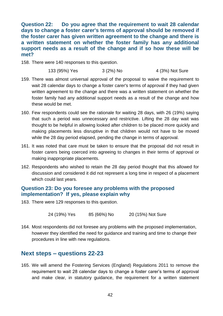<span id="page-41-0"></span>**Question 22: Do you agree that the requirement to wait 28 calendar days to change a foster carer's terms of approval should be removed if the foster carer has given written agreement to the change and there is a written statement on whether the foster family has any additional support needs as a result of the change and if so how these will be met?**

158. There were 140 responses to this question.

133 (95%) Yes 3 (2%) No 4 (3%) Not Sure

- 159. There was almost universal approval of the proposal to waive the requirement to wait 28 calendar days to change a foster carer's terms of approval if they had given written agreement to the change and there was a written statement on whether the foster family had any additional support needs as a result of the change and how these would be met.
- 160. Few respondents could see the rationale for waiting 28 days, with 26 (19%) saying that such a period was unnecessary and restrictive. Lifting the 28 day wait was thought to be helpful in allowing looked after children to be placed more quickly and making placements less disruptive in that children would not have to be moved while the 28 day period elapsed, pending the change in terms of approval.
- 161. It was noted that care must be taken to ensure that the proposal did not result in foster carers being coerced into agreeing to changes in their terms of approval or making inappropriate placements.
- 162. Respondents who wished to retain the 28 day period thought that this allowed for discussion and considered it did not represent a long time in respect of a placement which could last years.

#### <span id="page-41-1"></span>**Question 23: Do you foresee any problems with the proposed implementation? If yes, please explain why**

163. There were 129 responses to this question.

24 (19%) Yes 85 (66%) No 20 (15%) Not Sure

164. Most respondents did not foresee any problems with the proposed implementation, however they identified the need for guidance and training and time to change their procedures in line with new regulations.

#### **Next steps – questions 22-23**

165. We will amend the Fostering Services (England) Regulations 2011 to remove the requirement to wait 28 calendar days to change a foster carer's terms of approval and make clear, in statutory guidance, the requirement for a written statement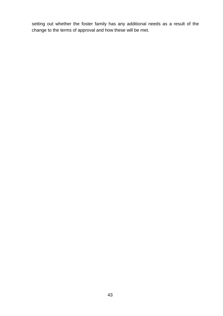setting out whether the foster family has any additional needs as a result of the change to the terms of approval and how these will be met.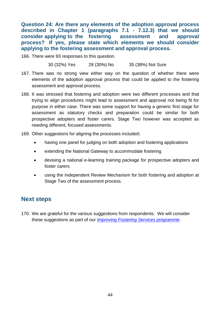<span id="page-43-0"></span>**Question 24: Are there any elements of the adoption approval process described in Chapter 1 (paragraphs 7.1 - 7.12.3) that we should consider applying to the fostering assessment and approval process? If yes, please state which elements we should consider applying to the fostering assessment and approval process.**

166. There were 93 responses to this question.

30 (32%) Yes 28 (30%) No 35 (38%) Not Sure

- 167. There was no strong view either way on the question of whether there were elements of the adoption approval process that could be applied to the fostering assessment and approval process.
- 168. It was stressed that fostering and adoption were two different processes and that trying to align procedures might lead to assessment and approval not being fit for purpose in either case. There was some support for having a generic first stage for assessment as statutory checks and preparation could be similar for both prospective adopters and foster carers. Stage Two however was accepted as needing different, focused assessments.
- 169. Other suggestions for aligning the processes included**:**
	- having one panel for judging on both adoption and fostering applications
	- extending the National Gateway to accommodate fostering
	- devising a national e-learning training package for prospective adopters and foster carers
	- using the Independent Review Mechanism for both fostering and adoption at Stage Two of the assessment process.

## **Next steps**

170. We are grateful for the various suggestions from respondents. We will consider these suggestions as part of our *[Improving Fostering Services](http://www.education.gov.uk/childrenandyoungpeople/families/fostercare/a00209220/proposals) programme*.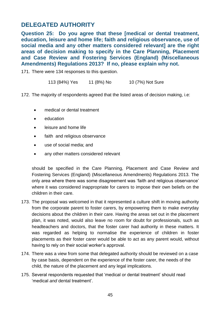## <span id="page-44-0"></span>**DELEGATED AUTHORITY**

<span id="page-44-1"></span>**Question 25: Do you agree that these [medical or dental treatment, education, leisure and home life; faith and religious observance, use of social media and any other matters considered relevant] are the right areas of decision making to specify in the Care Planning, Placement and Case Review and Fostering Services (England) (Miscellaneous Amendments) Regulations 2013? If no, please explain why not.**

171. There were 134 responses to this question.

113 (84%) Yes 11 (8%) No 10 (7%) Not Sure

172. The majority of respondents agreed that the listed areas of decision making, i.e:

- medical or dental treatment
- education
- leisure and home life
- faith and religious observance
- use of social media; and
- any other matters considered relevant

should be specified in the Care Planning, Placement and Case Review and Fostering Services (England) (Miscellaneous Amendments) Regulations 2013. The only area where there was some disagreement was 'faith and religious observance' where it was considered inappropriate for carers to impose their own beliefs on the children in their care.

- 173. The proposal was welcomed in that it represented a culture shift in moving authority from the corporate parent to foster carers, by empowering them to make everyday decisions about the children in their care. Having the areas set out in the placement plan, it was noted, would also leave no room for doubt for professionals, such as headteachers and doctors, that the foster carer had authority in these matters. It was regarded as helping to normalise the experience of children in foster placements as their foster carer would be able to act as any parent would, without having to rely on their social worker's approval.
- 174. There was a view from some that delegated authority should be reviewed on a case by case basis, dependent on the experience of the foster carer, the needs of the child, the nature of the placement and any legal implications.
- 175. Several respondents requested that 'medical or dental treatment' should read 'medical *and* dental treatment'.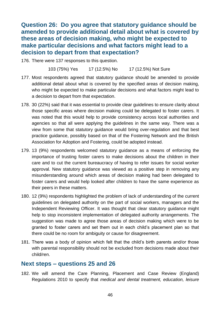<span id="page-45-0"></span>**Question 26: Do you agree that statutory guidance should be amended to provide additional detail about what is covered by these areas of decision making, who might be expected to make particular decisions and what factors might lead to a decision to depart from that expectation?**

176. There were 137 responses to this question.

103 (75%) Yes 17 (12.5%) No 17 (12.5%) Not Sure

- 177. Most respondents agreed that statutory guidance should be amended to provide additional detail about what is covered by the specified areas of decision making, who might be expected to make particular decisions and what factors might lead to a decision to depart from that expectation.
- 178. 30 (22%) said that it was essential to provide clear guidelines to ensure clarity about those specific areas where decision making could be delegated to foster carers. It was noted that this would help to provide consistency across local authorities and agencies so that all were applying the guidelines in the same way. There was a view from some that statutory guidance would bring over-regulation and that best practice guidance, possibly based on that of the Fostering Network and the British Association for Adoption and Fostering, could be adopted instead.
- 179. 13 (9%) respondents welcomed statutory guidance as a means of enforcing the importance of trusting foster carers to make decisions about the children in their care and to cut the current bureaucracy of having to refer issues for social worker approval. New statutory guidance was viewed as a positive step in removing any misunderstanding around which areas of decision making had been delegated to foster carers and would help looked after children to have the same experience as their peers in these matters.
- 180. 12 (9%) respondents highlighted the problem of lack of understanding of the current guidelines on delegated authority on the part of social workers, managers and the Independent Reviewing Officer. It was thought that clear statutory guidance might help to stop inconsistent implementation of delegated authority arrangements. The suggestion was made to agree those areas of decision making which were to be granted to foster carers and set them out in each child's placement plan so that there could be no room for ambiguity or cause for disagreement.
- 181. There was a body of opinion which felt that the child's birth parents and/or those with parental responsibility should not be excluded from decisions made about their child/ren.

#### **Next steps – questions 25 and 26**

182. We will amend the Care Planning, Placement and Case Review (England) Regulations 2010 to specify that *medical and dental treatment, education, leisure*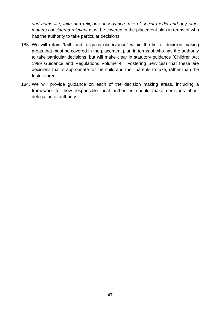*and home life; faith and religious observance, use of social media and any other matters considered relevant* must be covered in the placement plan in terms of who has the authority to take particular decisions.

- 183. We will retain "faith and religious observance" within the list of decision making areas that must be covered in the placement plan in terms of who has the authority to take particular decisions, but will make clear in statutory guidance (Children Act 1989 Guidance and Regulations Volume 4: Fostering Services) that these are decisions that is appropriate for the child and their parents to take, rather than the foster carer.
- 184. We will provide guidance on each of the decision making areas, including a framework for how responsible local authorities should make decisions about delegation of authority.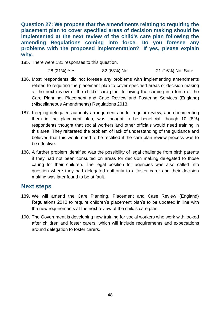<span id="page-47-0"></span>**Question 27: We propose that the amendments relating to requiring the placement plan to cover specified areas of decision making should be implemented at the next review of the child's care plan following the amending Regulations coming into force. Do you foresee any problems with the proposed implementation? If yes, please explain why.**

185. There were 131 responses to this question.

28 (21%) Yes 82 (63%) No 21 (16%) Not Sure

- 186. Most respondents did not foresee any problems with implementing amendments related to requiring the placement plan to cover specified areas of decision making at the next review of the child's care plan, following the coming into force of the Care Planning, Placement and Case Review and Fostering Services (England) (Miscellaneous Amendments) Regulations 2013.
- 187. Keeping delegated authority arrangements under regular review, and documenting them in the placement plan, was thought to be beneficial, though 10 (8%) respondents thought that social workers and other officials would need training in this area. They reiterated the problem of lack of understanding of the guidance and believed that this would need to be rectified if the care plan review process was to be effective.
- 188. A further problem identified was the possibility of legal challenge from birth parents if they had not been consulted on areas for decision making delegated to those caring for their children. The legal position for agencies was also called into question where they had delegated authority to a foster carer and their decision making was later found to be at fault.

#### **Next steps**

- 189. We will amend the Care Planning, Placement and Case Review (England) Regulations 2010 to require children's placement plan's to be updated in line with the new requirements at the next review of the child's care plan.
- 190. The Government is developing new training for social workers who work with looked after children and foster carers, which will include requirements and expectations around delegation to foster carers.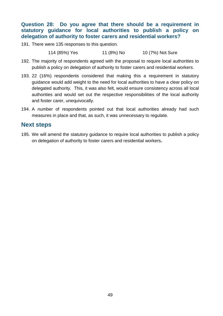#### <span id="page-48-0"></span>**Question 28: Do you agree that there should be a requirement in statutory guidance for local authorities to publish a policy on delegation of authority to foster carers and residential workers?**

191. There were 135 responses to this question.

114 (85%) Yes 11 (8%) No 10 (7%) Not Sure

- 192. The majority of respondents agreed with the proposal to require local authorities to publish a policy on delegation of authority to foster carers and residential workers.
- 193. 22 (16%) respondents considered that making this a requirement in statutory guidance would add weight to the need for local authorities to have a clear policy on delegated authority. This, it was also felt, would ensure consistency across all local authorities and would set out the respective responsibilities of the local authority and foster carer, unequivocally.
- 194. A number of respondents pointed out that local authorities already had such measures in place and that, as such, it was unnecessary to regulate.

#### **Next steps**

195. We will amend the statutory guidance to require local authorities to publish a policy on delegation of authority to foster carers and residential workers**.**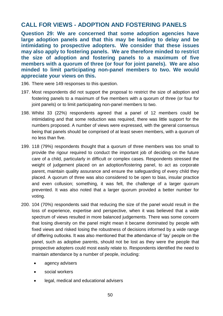## <span id="page-49-0"></span>**CALL FOR VIEWS - ADOPTION AND FOSTERING PANELS**

<span id="page-49-1"></span>**Question 29: We are concerned that some adoption agencies have large adoption panels and that this may be leading to delay and be intimidating to prospective adopters. We consider that these issues may also apply to fostering panels. We are therefore minded to restrict the size of adoption and fostering panels to a maximum of five members with a quorum of three (or four for joint panels). We are also minded to limit participating non-panel members to two. We would appreciate your views on this.**

- 196. There were 149 responses to this question.
- 197. Most respondents did not support the proposal to restrict the size of adoption and fostering panels to a maximum of five members with a quorum of three (or four for joint panels) or to limit participating non-panel members to two.
- 198. Whilst 33 (22%) respondents agreed that a panel of 12 members could be intimidating and that some reduction was required, there was little support for the numbers proposed. A number of views were expressed, with the general consensus being that panels should be comprised of at least seven members, with a quorum of no less than five.
- 199. 118 (79%) respondents thought that a quorum of three members was too small to provide the rigour required to conduct the important job of deciding on the future care of a child, particularly in difficult or complex cases. Respondents stressed the weight of judgement placed on an adoption/fostering panel, to act as corporate parent, maintain quality assurance and ensure the safeguarding of every child they placed. A quorum of three was also considered to be open to bias, insular practice and even collusion; something, it was felt, the challenge of a larger quorum prevented. It was also noted that a larger quorum provided a better number for voting.
- 200. 104 (70%) respondents said that reducing the size of the panel would result in the loss of experience, expertise and perspective, when it was believed that a wide spectrum of views resulted in more balanced judgements. There was some concern that losing diversity on the panel might mean it became dominated by people with fixed views and risked losing the robustness of decisions informed by a wide range of differing outlooks. It was also mentioned that the attendance of 'lay' people on the panel, such as adoptive parents, should not be lost as they were the people that prospective adopters could most easily relate to. Respondents identified the need to maintain attendance by a number of people, including:
	- agency advisers
	- social workers
	- legal, medical and educational advisers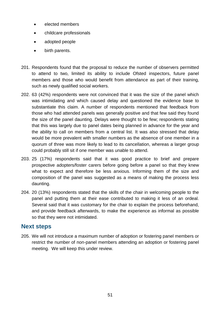- elected members
- childcare professionals
- adopted people
- birth parents.
- 201. Respondents found that the proposal to reduce the number of observers permitted to attend to two, limited its ability to include Ofsted inspectors, future panel members and those who would benefit from attendance as part of their training, such as newly qualified social workers.
- 202. 63 (42%) respondents were not convinced that it was the size of the panel which was intimidating and which caused delay and questioned the evidence base to substantiate this claim. A number of respondents mentioned that feedback from those who had attended panels was generally positive and that few said they found the size of the panel daunting. Delays were thought to be few; respondents stating that this was largely due to panel dates being planned in advance for the year and the ability to call on members from a central list. It was also stressed that delay would be more prevalent with smaller numbers as the absence of one member in a quorum of three was more likely to lead to its cancellation, whereas a larger group could probably still sit if one member was unable to attend.
- 203. 25 (17%) respondents said that it was good practice to brief and prepare prospective adopters/foster carers before going before a panel so that they knew what to expect and therefore be less anxious. Informing them of the size and composition of the panel was suggested as a means of making the process less daunting.
- 204. 20 (13%) respondents stated that the skills of the chair in welcoming people to the panel and putting them at their ease contributed to making it less of an ordeal. Several said that it was customary for the chair to explain the process beforehand, and provide feedback afterwards, to make the experience as informal as possible so that they were not intimidated.

## **Next steps**

205. We will not introduce a maximum number of adoption or fostering panel members or restrict the number of non-panel members attending an adoption or fostering panel meeting. We will keep this under review.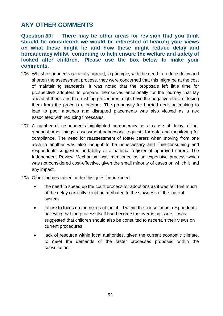## <span id="page-51-0"></span>**ANY OTHER COMMENTS**

<span id="page-51-1"></span>**Question 30: There may be other areas for revision that you think should be considered; we would be interested in hearing your views on what these might be and how these might reduce delay and bureaucracy whilst continuing to help ensure the welfare and safety of looked after children. Please use the box below to make your comments.**

- 206. Whilst respondents generally agreed, in principle, with the need to reduce delay and shorten the assessment process, they were concerned that this might be at the cost of maintaining standards. It was noted that the proposals left little time for prospective adopters to prepare themselves emotionally for the journey that lay ahead of them, and that rushing procedures might have the negative effect of losing them from the process altogether. The propensity for hurried decision making to lead to poor matches and disrupted placements was also viewed as a risk associated with reducing timescales.
- 207. A number of respondents highlighted bureaucracy as a cause of delay, citing, amongst other things, assessment paperwork, requests for data and monitoring for compliance. The need for reassessment of foster carers when moving from one area to another was also thought to be unnecessary and time-consuming and respondents suggested portability or a national register of approved carers. The Independent Review Mechanism was mentioned as an expensive process which was not considered cost-effective, given the small minority of cases on which it had any impact.
- 208. Other themes raised under this question included:
	- the need to speed up the court process for adoptions as it was felt that much of the delay currently could be attributed to the slowness of the judicial system
	- failure to focus on the needs of the child within the consultation, respondents believing that the process itself had become the overriding issue; it was suggested that children should also be consulted to ascertain their views on current procedures
	- lack of resource within local authorities, given the current economic climate, to meet the demands of the faster processes proposed within the consultation.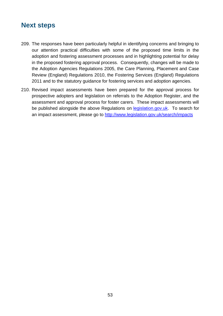## <span id="page-52-0"></span>**Next steps**

- 209. The responses have been particularly helpful in identifying concerns and bringing to our attention practical difficulties with some of the proposed time limits in the adoption and fostering assessment processes and in highlighting potential for delay in the proposed fostering approval process. Consequently, changes will be made to the Adoption Agencies Regulations 2005, the Care Planning, Placement and Case Review (England) Regulations 2010, the Fostering Services (England) Regulations 2011 and to the statutory guidance for fostering services and adoption agencies.
- 210. Revised impact assessments have been prepared for the approval process for prospective adopters and legislation on referrals to the Adoption Register, and the assessment and approval process for foster carers. These impact assessments will be published alongside the above Regulations on [legislation.gov.uk.](http://www.legislation.gov.uk/) To search for an impact assessment, please go to<http://www.legislation.gov.uk/search/impacts>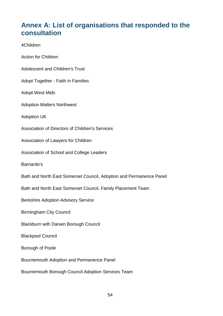# <span id="page-53-0"></span>**Annex A: List of organisations that responded to the consultation**

#### 4Children

- Action for Children
- Adolescent and Children's Trust
- Adopt Together Faith in Families
- Adopt West Mids
- Adoption Matters Northwest
- Adoption UK
- Association of Directors of Children's Services
- Association of Lawyers for Children
- Association of School and College Leaders
- Barnardo's
- Bath and North East Somerset Council, Adoption and Permanence Panel
- Bath and North East Somerset Council, Family Placement Team
- Berkshire Adoption Advisory Service
- Birmingham City Council
- Blackburn with Darwin Borough Council
- Blackpool Council
- Borough of Poole
- Bournemouth Adoption and Permanence Panel
- Bournemouth Borough Council Adoption Services Team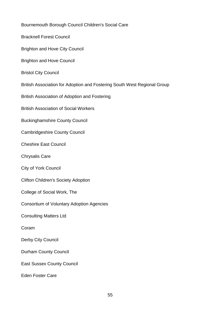Bournemouth Borough Council Children's Social Care

Bracknell Forest Council

Brighton and Hove City Council

Brighton and Hove Council

Bristol City Council

British Association for Adoption and Fostering South West Regional Group

British Association of Adoption and Fostering

British Association of Social Workers

Buckinghamshire County Council

Cambridgeshire County Council

Cheshire East Council

Chrysalis Care

City of York Council

Clifton Children's Society Adoption

College of Social Work, The

Consortium of Voluntary Adoption Agencies

Consulting Matters Ltd

Coram

Derby City Council

Durham County Council

East Sussex County Council

Eden Foster Care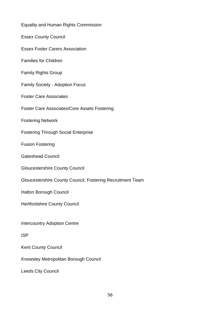| <b>Equality and Human Rights Commission</b>                |
|------------------------------------------------------------|
| <b>Essex County Council</b>                                |
| <b>Essex Foster Carers Association</b>                     |
| <b>Families for Children</b>                               |
| <b>Family Rights Group</b>                                 |
| <b>Family Society - Adoption Focus</b>                     |
| <b>Foster Care Associates</b>                              |
| <b>Foster Care Associates/Core Assets Fostering</b>        |
| <b>Fostering Network</b>                                   |
| <b>Fostering Through Social Enterprise</b>                 |
| <b>Fusion Fostering</b>                                    |
| <b>Gateshead Council</b>                                   |
| <b>Gloucestershire County Council</b>                      |
| Gloucestershire County Council, Fostering Recruitment Team |
| Halton Borough Council                                     |
| <b>Hertfordshire County Council</b>                        |
| <b>Intercountry Adoption Centre</b>                        |
| <b>ISP</b>                                                 |
| <b>Kent County Council</b>                                 |
| Knowsley Metropolitan Borough Council                      |
| <b>Leeds City Council</b>                                  |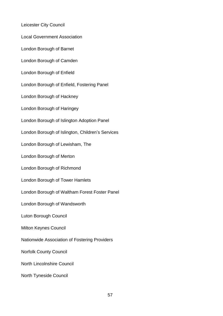Leicester City Council

Local Government Association

London Borough of Barnet

London Borough of Camden

London Borough of Enfield

London Borough of Enfield, Fostering Panel

London Borough of Hackney

London Borough of Haringey

London Borough of Islington Adoption Panel

London Borough of Islington, Children's Services

London Borough of Lewisham, The

London Borough of Merton

London Borough of Richmond

London Borough of Tower Hamlets

London Borough of Waltham Forest Foster Panel

London Borough of Wandsworth

Luton Borough Council

Milton Keynes Council

Nationwide Association of Fostering Providers

Norfolk County Council

North Lincolnshire Council

North Tyneside Council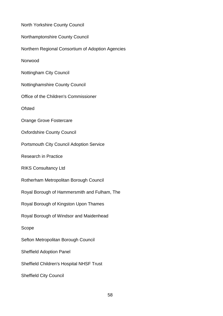| North Yorkshire County Council                    |
|---------------------------------------------------|
| Northamptonshire County Council                   |
| Northern Regional Consortium of Adoption Agencies |
| Norwood                                           |
| <b>Nottingham City Council</b>                    |
| <b>Nottinghamshire County Council</b>             |
| Office of the Children's Commissioner             |
| <b>Ofsted</b>                                     |
| Orange Grove Fostercare                           |
| <b>Oxfordshire County Council</b>                 |
| <b>Portsmouth City Council Adoption Service</b>   |
| <b>Research in Practice</b>                       |
| <b>RIKS Consultancy Ltd</b>                       |
| Rotherham Metropolitan Borough Council            |
| Royal Borough of Hammersmith and Fulham, The      |
| Royal Borough of Kingston Upon Thames             |
| Royal Borough of Windsor and Maidenhead           |
| Scope                                             |
| Sefton Metropolitan Borough Council               |
| <b>Sheffield Adoption Panel</b>                   |
| Sheffield Children's Hospital NHSF Trust          |
| <b>Sheffield City Council</b>                     |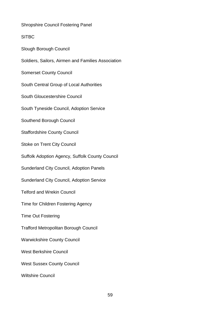Shropshire Council Fostering Panel

**SITBC** 

Slough Borough Council

Soldiers, Sailors, Airmen and Families Association

Somerset County Council

South Central Group of Local Authorities

South Gloucestershire Council

South Tyneside Council, Adoption Service

Southend Borough Council

Staffordshire County Council

Stoke on Trent City Council

Suffolk Adoption Agency, Suffolk County Council

Sunderland City Council, Adoption Panels

Sunderland City Council, Adoption Service

Telford and Wrekin Council

Time for Children Fostering Agency

Time Out Fostering

Trafford Metropolitan Borough Council

Warwickshire County Council

West Berkshire Council

West Sussex County Council

Wiltshire Council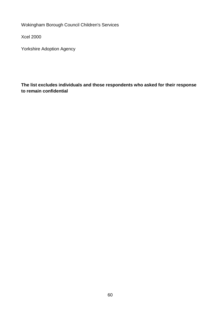Wokingham Borough Council Children's Services

Xcel 2000

Yorkshire Adoption Agency

**The list excludes individuals and those respondents who asked for their response to remain confidential**